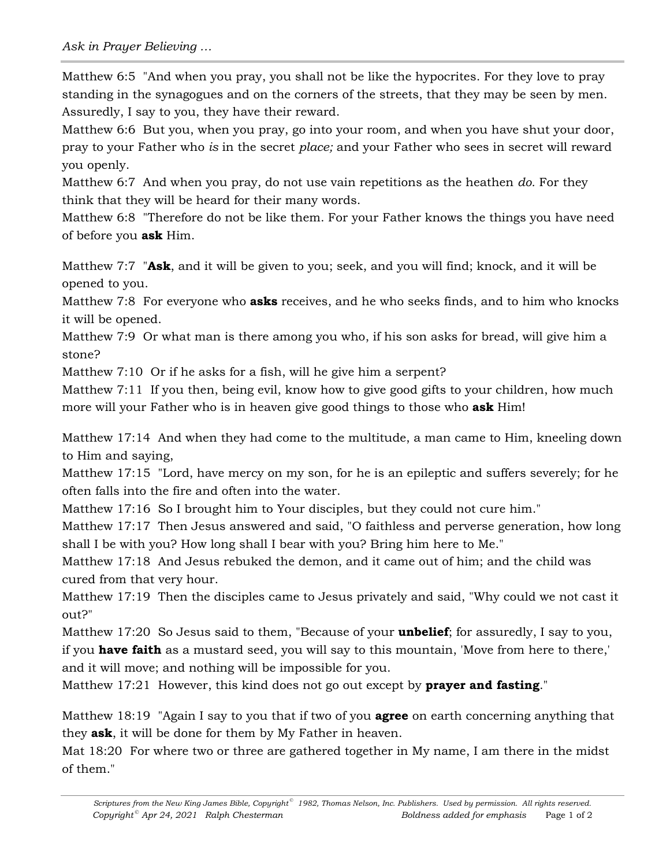Matthew 6:5 "And when you pray, you shall not be like the hypocrites. For they love to pray standing in the synagogues and on the corners of the streets, that they may be seen by men. Assuredly, I say to you, they have their reward.

Matthew 6:6 But you, when you pray, go into your room, and when you have shut your door, pray to your Father who *is* in the secret *place;* and your Father who sees in secret will reward you openly.

Matthew 6:7 And when you pray, do not use vain repetitions as the heathen *do.* For they think that they will be heard for their many words.

Matthew 6:8 "Therefore do not be like them. For your Father knows the things you have need of before you **ask** Him.

Matthew 7:7 "**Ask**, and it will be given to you; seek, and you will find; knock, and it will be opened to you.

Matthew 7:8 For everyone who **asks** receives, and he who seeks finds, and to him who knocks it will be opened.

Matthew 7:9 Or what man is there among you who, if his son asks for bread, will give him a stone?

Matthew 7:10 Or if he asks for a fish, will he give him a serpent?

Matthew 7:11 If you then, being evil, know how to give good gifts to your children, how much more will your Father who is in heaven give good things to those who **ask** Him!

Matthew 17:14 And when they had come to the multitude, a man came to Him, kneeling down to Him and saying,

Matthew 17:15 "Lord, have mercy on my son, for he is an epileptic and suffers severely; for he often falls into the fire and often into the water.

Matthew 17:16 So I brought him to Your disciples, but they could not cure him."

Matthew 17:17 Then Jesus answered and said, "O faithless and perverse generation, how long shall I be with you? How long shall I bear with you? Bring him here to Me."

Matthew 17:18 And Jesus rebuked the demon, and it came out of him; and the child was cured from that very hour.

Matthew 17:19 Then the disciples came to Jesus privately and said, "Why could we not cast it out?"

Matthew 17:20 So Jesus said to them, "Because of your **unbelief**; for assuredly, I say to you, if you **have faith** as a mustard seed, you will say to this mountain, 'Move from here to there,' and it will move; and nothing will be impossible for you.

Matthew 17:21 However, this kind does not go out except by **prayer and fasting**."

Matthew 18:19 "Again I say to you that if two of you **agree** on earth concerning anything that they **ask**, it will be done for them by My Father in heaven.

Mat 18:20 For where two or three are gathered together in My name, I am there in the midst of them."